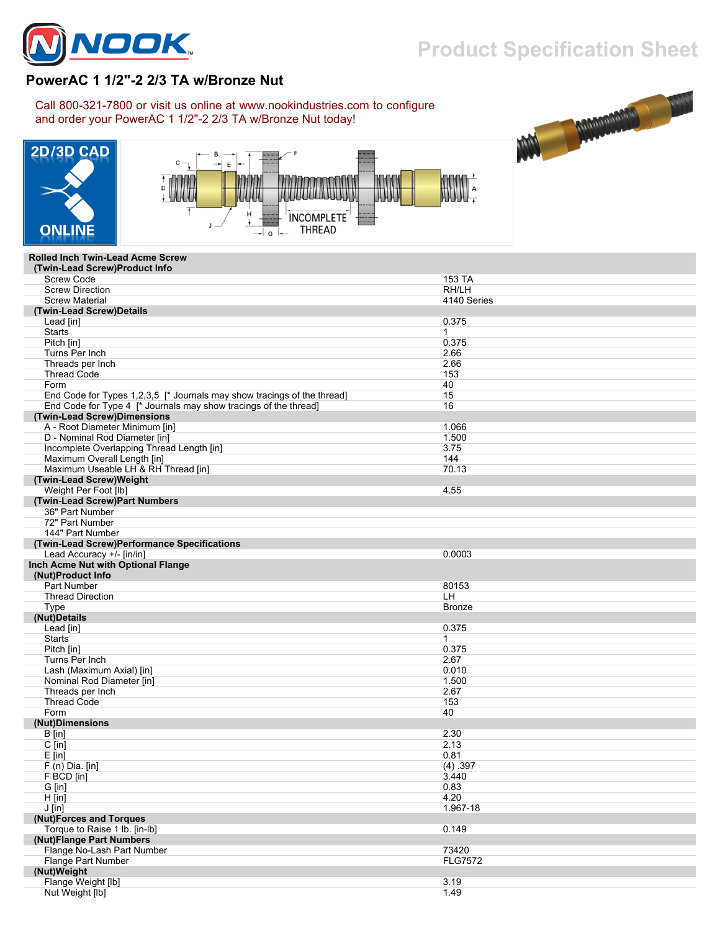

## **Product Specification Sheet**

## **PowerAC 1 1/2"-2 2/3 TA w/Bronze Nut**

Call 800-321-7800 or visit us online at www.nookindustries.com to configure and order your PowerAC 1 1/2"-2 2/3 TA w/Bronze Nut today!







## **Rolled Inch Twin-Lead Acme Screw**

| (Twin-Lead Screw)Product Info                                           |                |
|-------------------------------------------------------------------------|----------------|
| <b>Screw Code</b>                                                       | 153 TA         |
| <b>Screw Direction</b>                                                  | RH/LH          |
| <b>Screw Material</b>                                                   | 4140 Series    |
| (Twin-Lead Screw)Details                                                |                |
| Lead [in]                                                               | 0.375          |
| <b>Starts</b>                                                           | $\mathbf 1$    |
| Pitch [in]                                                              | 0.375          |
| Turns Per Inch                                                          | 2.66           |
| Threads per Inch                                                        | 2.66           |
| <b>Thread Code</b>                                                      | 153            |
| Form                                                                    | 40             |
| End Code for Types 1,2,3,5 [* Journals may show tracings of the thread] | 15             |
| End Code for Type 4 [* Journals may show tracings of the thread]        | 16             |
| (Twin-Lead Screw)Dimensions                                             |                |
| A - Root Diameter Minimum [in]                                          | 1.066          |
| D - Nominal Rod Diameter [in]                                           | 1.500          |
| Incomplete Overlapping Thread Length [in]                               | 3.75           |
| Maximum Overall Length [in]                                             | 144            |
| Maximum Useable LH & RH Thread [in]                                     | 70.13          |
| (Twin-Lead Screw)Weight                                                 |                |
| Weight Per Foot [lb]                                                    | 4.55           |
| (Twin-Lead Screw)Part Numbers                                           |                |
| 36" Part Number                                                         |                |
| 72" Part Number                                                         |                |
| 144" Part Number                                                        |                |
| (Twin-Lead Screw)Performance Specifications                             |                |
| Lead Accuracy +/- [in/in]                                               | 0.0003         |
| Inch Acme Nut with Optional Flange                                      |                |
| (Nut)Product Info                                                       |                |
| Part Number                                                             | 80153          |
| <b>Thread Direction</b>                                                 | LH.            |
| Type                                                                    | <b>Bronze</b>  |
| (Nut)Details                                                            |                |
| Lead [in]                                                               | 0.375          |
| <b>Starts</b>                                                           | 1              |
| Pitch [in]                                                              | 0.375          |
| Turns Per Inch                                                          | 2.67           |
| Lash (Maximum Axial) [in]                                               | 0.010          |
| Nominal Rod Diameter [in]                                               | 1.500          |
| Threads per Inch                                                        | 2.67           |
| <b>Thread Code</b>                                                      | 153            |
| Form                                                                    | 40             |
| (Nut)Dimensions                                                         |                |
| $B$ [in]                                                                | 2.30           |
| $C$ [in]                                                                | 2.13           |
| $E$ [in]                                                                | 0.81           |
| $F(n)$ Dia. [in]                                                        | (4) .397       |
| F BCD [in]                                                              | 3.440          |
| G [in]                                                                  | 0.83           |
| $H$ [in]                                                                | 4.20           |
| $J$ [in]                                                                | 1.967-18       |
| (Nut)Forces and Torques                                                 |                |
| Torque to Raise 1 lb. [in-lb]                                           | 0.149          |
| (Nut)Flange Part Numbers                                                |                |
| Flange No-Lash Part Number                                              | 73420          |
| Flange Part Number                                                      | <b>FLG7572</b> |
| (Nut)Weight                                                             |                |
| Flange Weight [lb]                                                      | 3.19           |
| Nut Weight [lb]                                                         | 1.49           |
|                                                                         |                |